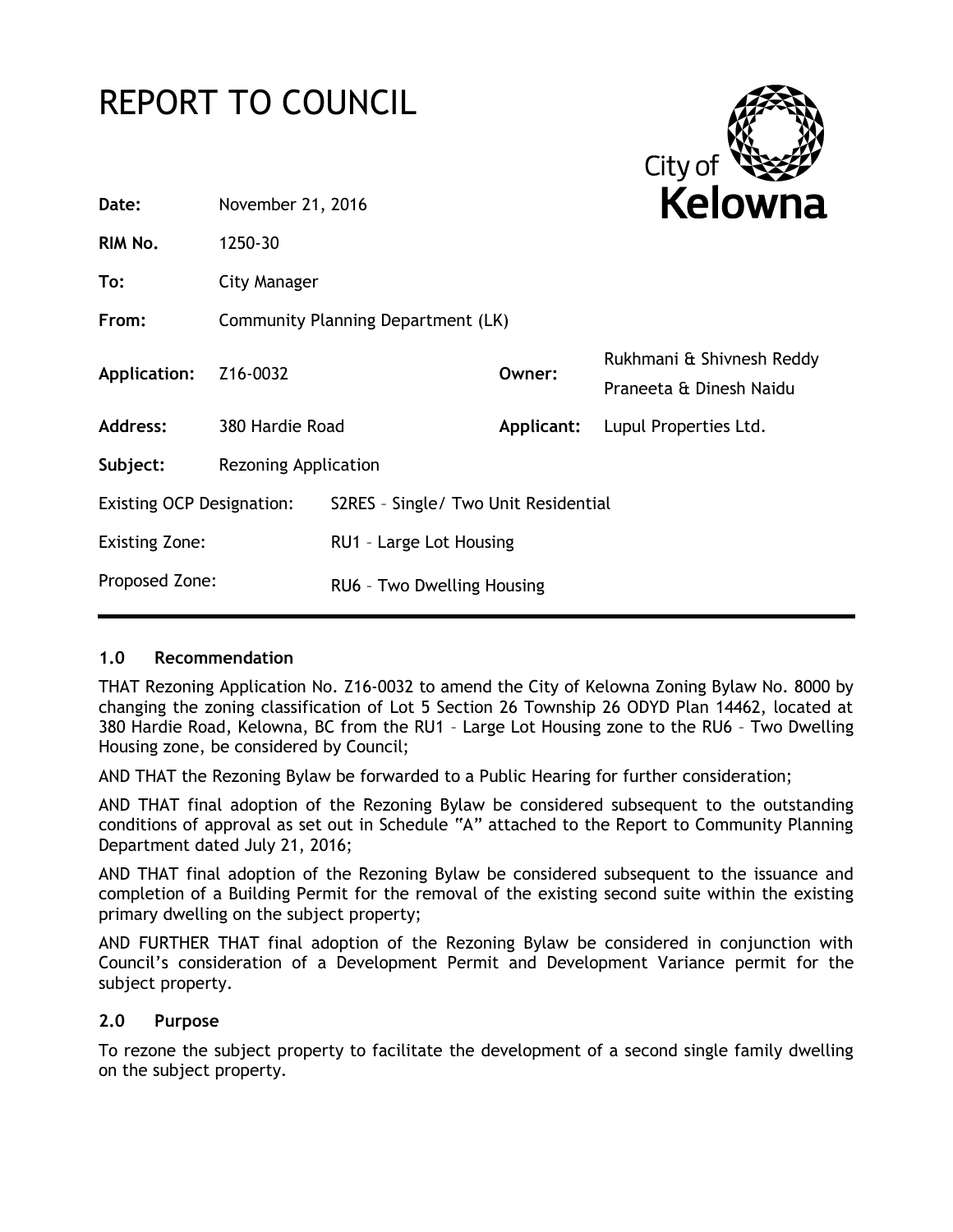# REPORT TO COUNCIL



| November 21, 2016                  |                            | Kelowna         |                                                                 |
|------------------------------------|----------------------------|-----------------|-----------------------------------------------------------------|
| 1250-30                            |                            |                 |                                                                 |
| City Manager                       |                            |                 |                                                                 |
| Community Planning Department (LK) |                            |                 |                                                                 |
| Z16-0032                           |                            | Owner:          | Rukhmani & Shivnesh Reddy<br>Praneeta & Dinesh Naidu            |
|                                    |                            | Applicant:      | Lupul Properties Ltd.                                           |
| <b>Rezoning Application</b>        |                            |                 |                                                                 |
| <b>Existing OCP Designation:</b>   |                            |                 |                                                                 |
| <b>Existing Zone:</b>              |                            |                 |                                                                 |
|                                    | RU6 - Two Dwelling Housing |                 |                                                                 |
|                                    | Proposed Zone:             | 380 Hardie Road | S2RES - Single/ Two Unit Residential<br>RU1 - Large Lot Housing |

### **1.0 Recommendation**

THAT Rezoning Application No. Z16-0032 to amend the City of Kelowna Zoning Bylaw No. 8000 by changing the zoning classification of Lot 5 Section 26 Township 26 ODYD Plan 14462, located at 380 Hardie Road, Kelowna, BC from the RU1 – Large Lot Housing zone to the RU6 – Two Dwelling Housing zone, be considered by Council;

AND THAT the Rezoning Bylaw be forwarded to a Public Hearing for further consideration;

AND THAT final adoption of the Rezoning Bylaw be considered subsequent to the outstanding conditions of approval as set out in Schedule "A" attached to the Report to Community Planning Department dated July 21, 2016;

AND THAT final adoption of the Rezoning Bylaw be considered subsequent to the issuance and completion of a Building Permit for the removal of the existing second suite within the existing primary dwelling on the subject property;

AND FURTHER THAT final adoption of the Rezoning Bylaw be considered in conjunction with Council's consideration of a Development Permit and Development Variance permit for the subject property.

### **2.0 Purpose**

To rezone the subject property to facilitate the development of a second single family dwelling on the subject property.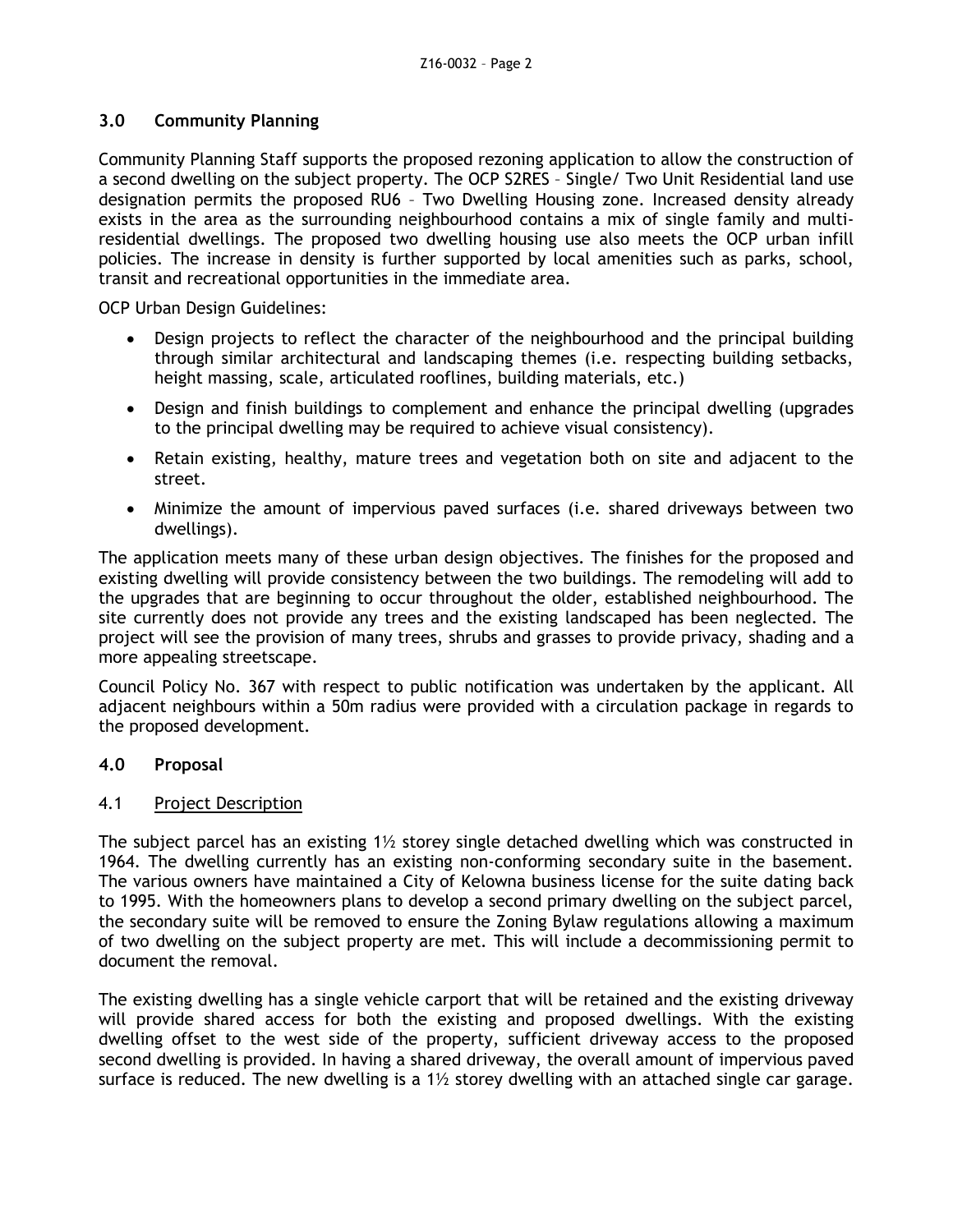### **3.0 Community Planning**

Community Planning Staff supports the proposed rezoning application to allow the construction of a second dwelling on the subject property. The OCP S2RES – Single/ Two Unit Residential land use designation permits the proposed RU6 – Two Dwelling Housing zone. Increased density already exists in the area as the surrounding neighbourhood contains a mix of single family and multiresidential dwellings. The proposed two dwelling housing use also meets the OCP urban infill policies. The increase in density is further supported by local amenities such as parks, school, transit and recreational opportunities in the immediate area.

OCP Urban Design Guidelines:

- Design projects to reflect the character of the neighbourhood and the principal building through similar architectural and landscaping themes (i.e. respecting building setbacks, height massing, scale, articulated rooflines, building materials, etc.)
- Design and finish buildings to complement and enhance the principal dwelling (upgrades to the principal dwelling may be required to achieve visual consistency).
- Retain existing, healthy, mature trees and vegetation both on site and adjacent to the street.
- Minimize the amount of impervious paved surfaces (i.e. shared driveways between two dwellings).

The application meets many of these urban design objectives. The finishes for the proposed and existing dwelling will provide consistency between the two buildings. The remodeling will add to the upgrades that are beginning to occur throughout the older, established neighbourhood. The site currently does not provide any trees and the existing landscaped has been neglected. The project will see the provision of many trees, shrubs and grasses to provide privacy, shading and a more appealing streetscape.

Council Policy No. 367 with respect to public notification was undertaken by the applicant. All adjacent neighbours within a 50m radius were provided with a circulation package in regards to the proposed development.

### **4.0 Proposal**

### 4.1 Project Description

The subject parcel has an existing  $1\frac{1}{2}$  storey single detached dwelling which was constructed in 1964. The dwelling currently has an existing non-conforming secondary suite in the basement. The various owners have maintained a City of Kelowna business license for the suite dating back to 1995. With the homeowners plans to develop a second primary dwelling on the subject parcel, the secondary suite will be removed to ensure the Zoning Bylaw regulations allowing a maximum of two dwelling on the subject property are met. This will include a decommissioning permit to document the removal.

The existing dwelling has a single vehicle carport that will be retained and the existing driveway will provide shared access for both the existing and proposed dwellings. With the existing dwelling offset to the west side of the property, sufficient driveway access to the proposed second dwelling is provided. In having a shared driveway, the overall amount of impervious paved surface is reduced. The new dwelling is a  $1\frac{1}{2}$  storey dwelling with an attached single car garage.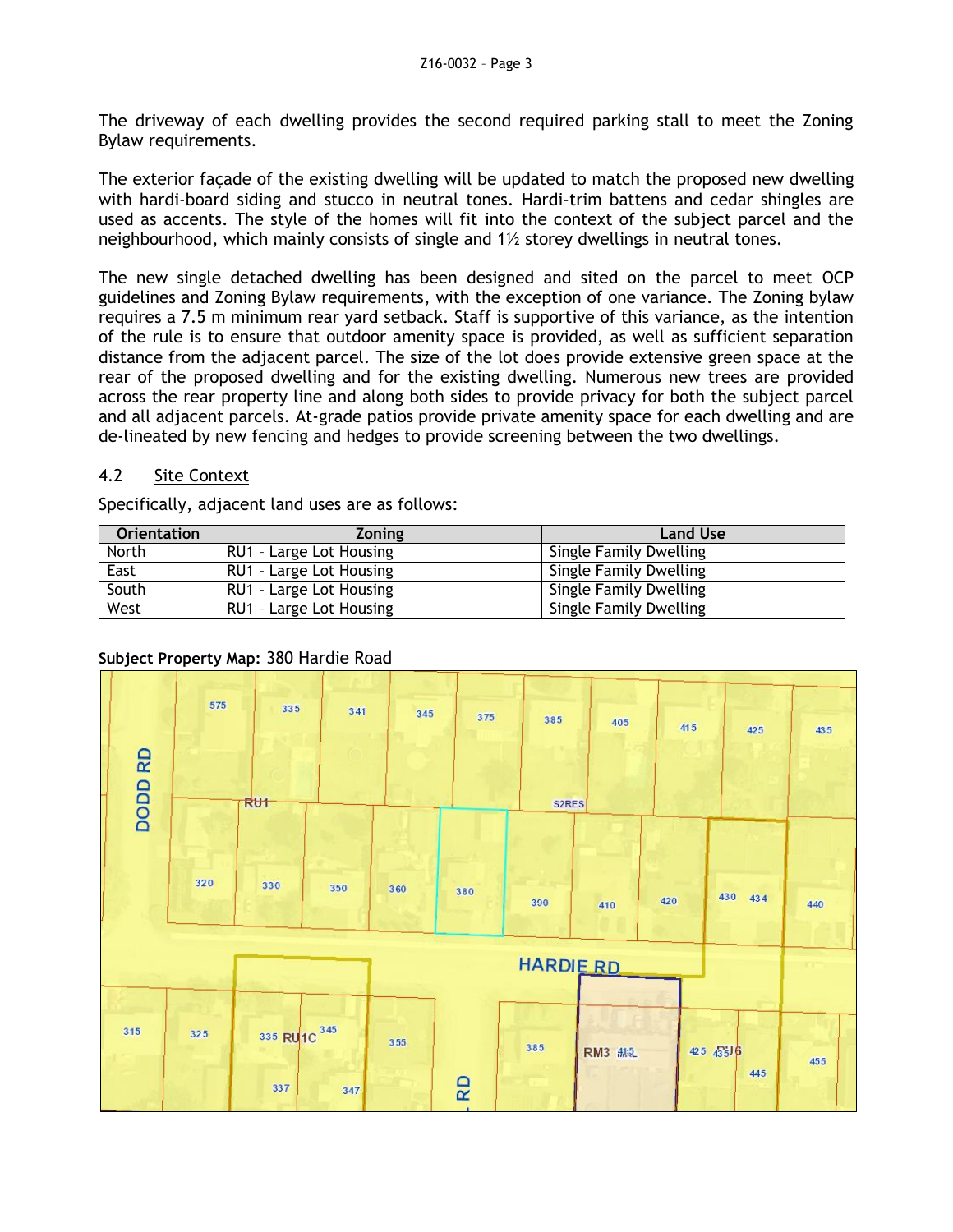The driveway of each dwelling provides the second required parking stall to meet the Zoning Bylaw requirements.

The exterior façade of the existing dwelling will be updated to match the proposed new dwelling with hardi-board siding and stucco in neutral tones. Hardi-trim battens and cedar shingles are used as accents. The style of the homes will fit into the context of the subject parcel and the neighbourhood, which mainly consists of single and 1½ storey dwellings in neutral tones.

The new single detached dwelling has been designed and sited on the parcel to meet OCP guidelines and Zoning Bylaw requirements, with the exception of one variance. The Zoning bylaw requires a 7.5 m minimum rear yard setback. Staff is supportive of this variance, as the intention of the rule is to ensure that outdoor amenity space is provided, as well as sufficient separation distance from the adjacent parcel. The size of the lot does provide extensive green space at the rear of the proposed dwelling and for the existing dwelling. Numerous new trees are provided across the rear property line and along both sides to provide privacy for both the subject parcel and all adjacent parcels. At-grade patios provide private amenity space for each dwelling and are de-lineated by new fencing and hedges to provide screening between the two dwellings.

## 4.2 Site Context

Specifically, adjacent land uses are as follows:

| <b>Orientation</b> | <b>Zoning</b>           | <b>Land Use</b>        |
|--------------------|-------------------------|------------------------|
| <b>North</b>       | RU1 - Large Lot Housing | Single Family Dwelling |
| East               | RU1 - Large Lot Housing | Single Family Dwelling |
| South              | RU1 - Large Lot Housing | Single Family Dwelling |
| West               | RU1 - Large Lot Housing | Single Family Dwelling |



### **Subject Property Map:** 380 Hardie Road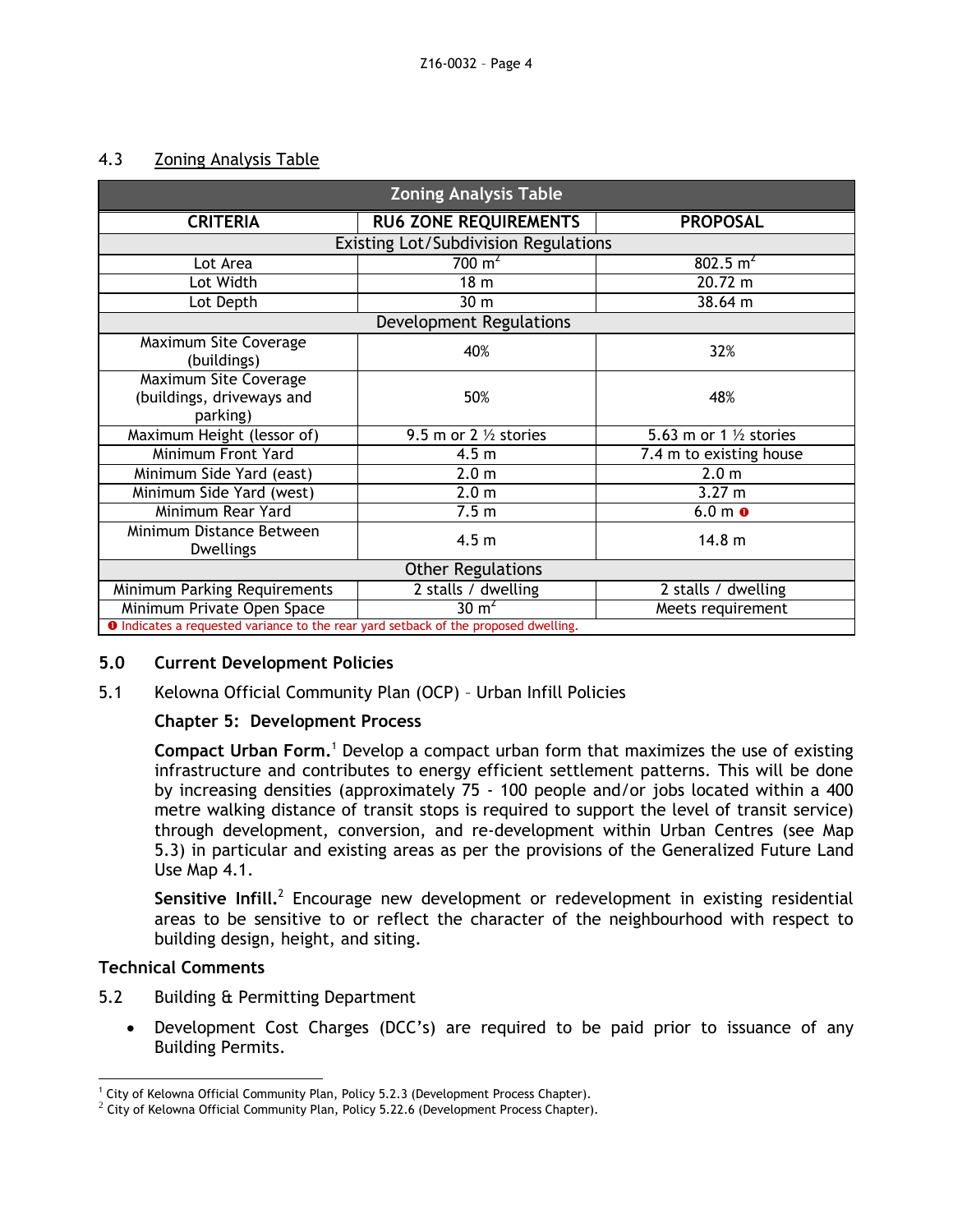#### 4.3 Zoning Analysis Table

| <b>Zoning Analysis Table</b>                                                               |                                  |                                   |  |  |
|--------------------------------------------------------------------------------------------|----------------------------------|-----------------------------------|--|--|
| <b>CRITERIA</b>                                                                            | <b>RU6 ZONE REQUIREMENTS</b>     | <b>PROPOSAL</b>                   |  |  |
| <b>Existing Lot/Subdivision Regulations</b>                                                |                                  |                                   |  |  |
| Lot Area                                                                                   | 700 $m^2$                        | $802.5 \text{ m}^2$               |  |  |
| Lot Width                                                                                  | 18 <sub>m</sub>                  | 20.72 m                           |  |  |
| Lot Depth                                                                                  | 30 <sub>m</sub>                  | 38.64 m                           |  |  |
| Development Regulations                                                                    |                                  |                                   |  |  |
| Maximum Site Coverage<br>(buildings)                                                       | 40%                              | 32%                               |  |  |
| Maximum Site Coverage<br>(buildings, driveways and<br>parking)                             | 50%                              | 48%                               |  |  |
| Maximum Height (lessor of)                                                                 | 9.5 m or 2 $\frac{1}{2}$ stories | 5.63 m or 1 $\frac{1}{2}$ stories |  |  |
| Minimum Front Yard                                                                         | 4.5 <sub>m</sub>                 | 7.4 m to existing house           |  |  |
| Minimum Side Yard (east)                                                                   | 2.0 <sub>m</sub>                 | 2.0 <sub>m</sub>                  |  |  |
| Minimum Side Yard (west)                                                                   | 2.0 <sub>m</sub>                 | 3.27 m                            |  |  |
| Minimum Rear Yard                                                                          | 7.5 <sub>m</sub>                 | $6.0 m$ o                         |  |  |
| Minimum Distance Between<br><b>Dwellings</b>                                               | 4.5 <sub>m</sub>                 | 14.8 <sub>m</sub>                 |  |  |
| <b>Other Regulations</b>                                                                   |                                  |                                   |  |  |
| Minimum Parking Requirements                                                               | 2 stalls / dwelling              | 2 stalls / dwelling               |  |  |
| Minimum Private Open Space                                                                 | 30 $m2$                          | Meets requirement                 |  |  |
| <b>O</b> Indicates a requested variance to the rear yard setback of the proposed dwelling. |                                  |                                   |  |  |

**O** Indicates a requested variance to the rear yard setback of the proposed dwelling.

### **5.0 Current Development Policies**

5.1 Kelowna Official Community Plan (OCP) – Urban Infill Policies

### **Chapter 5: Development Process**

**Compact Urban Form.**<sup>1</sup> Develop a compact urban form that maximizes the use of existing infrastructure and contributes to energy efficient settlement patterns. This will be done by increasing densities (approximately 75 - 100 people and/or jobs located within a 400 metre walking distance of transit stops is required to support the level of transit service) through development, conversion, and re-development within Urban Centres (see Map 5.3) in particular and existing areas as per the provisions of the Generalized Future Land Use Map 4.1.

Sensitive Infill.<sup>2</sup> Encourage new development or redevelopment in existing residential areas to be sensitive to or reflect the character of the neighbourhood with respect to building design, height, and siting.

#### **Technical Comments**

- 5.2 Building & Permitting Department
	- Development Cost Charges (DCC's) are required to be paid prior to issuance of any Building Permits.

<sup>-</sup><sup>1</sup> City of Kelowna Official Community Plan, Policy 5.2.3 (Development Process Chapter).

 $^2$  City of Kelowna Official Community Plan, Policy 5.22.6 (Development Process Chapter).